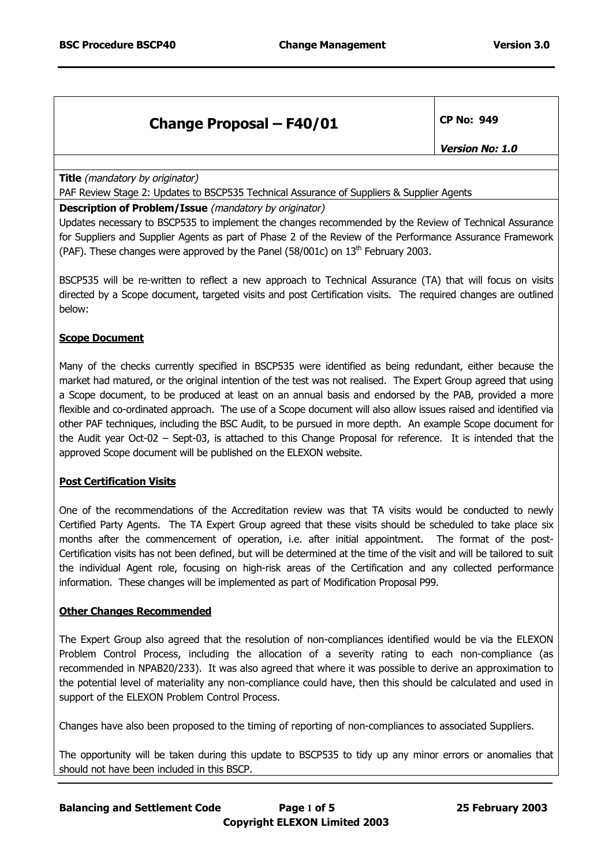| <b>Change Proposal - F40/01</b> | CP No: 949 |  |
|---------------------------------|------------|--|
|                                 |            |  |

**Version No: 1.0**

**Title** (mandatory by originator)

PAF Review Stage 2: Updates to BSCP535 Technical Assurance of Suppliers & Supplier Agents

#### **Description of Problem/Issue** (mandatory by originator)

Updates necessary to BSCP535 to implement the changes recommended by the Review of Technical Assurance for Suppliers and Supplier Agents as part of Phase 2 of the Review of the Performance Assurance Framework (PAF). These changes were approved by the Panel (58/001c) on  $13<sup>th</sup>$  February 2003.

BSCP535 will be re-written to reflect a new approach to Technical Assurance (TA) that will focus on visits directed by a Scope document, targeted visits and post Certification visits. The required changes are outlined below:

#### **Scope Document**

Many of the checks currently specified in BSCP535 were identified as being redundant, either because the market had matured, or the original intention of the test was not realised. The Expert Group agreed that using a Scope document, to be produced at least on an annual basis and endorsed by the PAB, provided a more flexible and co-ordinated approach. The use of a Scope document will also allow issues raised and identified via other PAF techniques, including the BSC Audit, to be pursued in more depth. An example Scope document for the Audit year Oct-02 – Sept-03, is attached to this Change Proposal for reference. It is intended that the approved Scope document will be published on the ELEXON website.

## **Post Certification Visits**

One of the recommendations of the Accreditation review was that TA visits would be conducted to newly Certified Party Agents. The TA Expert Group agreed that these visits should be scheduled to take place six months after the commencement of operation, i.e. after initial appointment. The format of the post-Certification visits has not been defined, but will be determined at the time of the visit and will be tailored to suit the individual Agent role, focusing on high-risk areas of the Certification and any collected performance information. These changes will be implemented as part of Modification Proposal P99.

## **Other Changes Recommended**

The Expert Group also agreed that the resolution of non-compliances identified would be via the ELEXON Problem Control Process, including the allocation of a severity rating to each non-compliance (as recommended in NPAB20/233). It was also agreed that where it was possible to derive an approximation to the potential level of materiality any non-compliance could have, then this should be calculated and used in support of the ELEXON Problem Control Process.

Changes have also been proposed to the timing of reporting of non-compliances to associated Suppliers.

The opportunity will be taken during this update to BSCP535 to tidy up any minor errors or anomalies that should not have been included in this BSCP.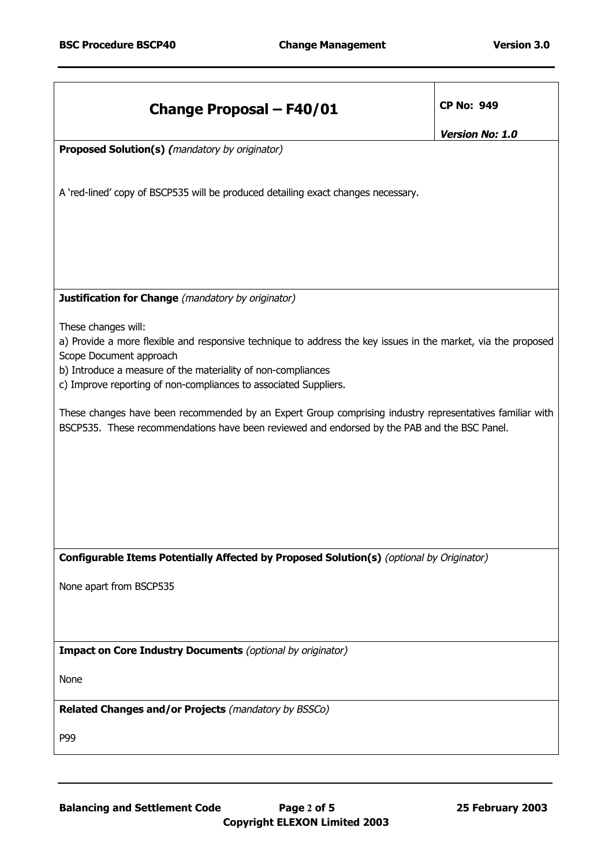| <b>Change Proposal - F40/01</b>                                                                                                                                                                          | <b>CP No: 949</b>      |  |
|----------------------------------------------------------------------------------------------------------------------------------------------------------------------------------------------------------|------------------------|--|
|                                                                                                                                                                                                          | <b>Version No: 1.0</b> |  |
| <b>Proposed Solution(s) (mandatory by originator)</b>                                                                                                                                                    |                        |  |
| A 'red-lined' copy of BSCP535 will be produced detailing exact changes necessary.                                                                                                                        |                        |  |
|                                                                                                                                                                                                          |                        |  |
|                                                                                                                                                                                                          |                        |  |
| <b>Justification for Change</b> (mandatory by originator)                                                                                                                                                |                        |  |
| These changes will:                                                                                                                                                                                      |                        |  |
| a) Provide a more flexible and responsive technique to address the key issues in the market, via the proposed                                                                                            |                        |  |
| Scope Document approach                                                                                                                                                                                  |                        |  |
| b) Introduce a measure of the materiality of non-compliances                                                                                                                                             |                        |  |
| c) Improve reporting of non-compliances to associated Suppliers.                                                                                                                                         |                        |  |
| These changes have been recommended by an Expert Group comprising industry representatives familiar with<br>BSCP535. These recommendations have been reviewed and endorsed by the PAB and the BSC Panel. |                        |  |
|                                                                                                                                                                                                          |                        |  |
|                                                                                                                                                                                                          |                        |  |
|                                                                                                                                                                                                          |                        |  |
|                                                                                                                                                                                                          |                        |  |
|                                                                                                                                                                                                          |                        |  |
|                                                                                                                                                                                                          |                        |  |
| Configurable Items Potentially Affected by Proposed Solution(s) (optional by Originator)                                                                                                                 |                        |  |
| None apart from BSCP535                                                                                                                                                                                  |                        |  |
|                                                                                                                                                                                                          |                        |  |
|                                                                                                                                                                                                          |                        |  |
| <b>Impact on Core Industry Documents</b> (optional by originator)                                                                                                                                        |                        |  |
| None                                                                                                                                                                                                     |                        |  |
| Related Changes and/or Projects (mandatory by BSSCo)                                                                                                                                                     |                        |  |
| P99                                                                                                                                                                                                      |                        |  |
|                                                                                                                                                                                                          |                        |  |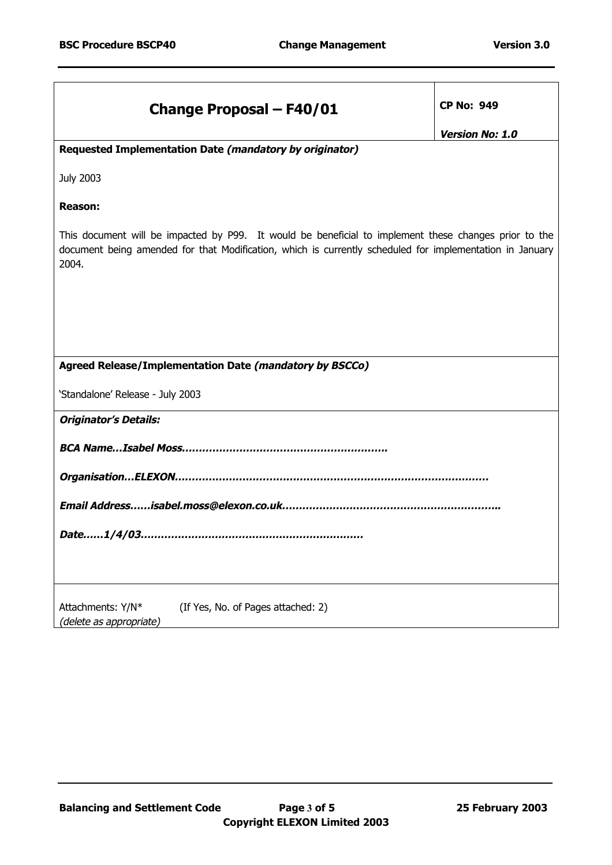| <b>Change Proposal - F40/01</b>                                                                                                                                                                                            | <b>CP No: 949</b>      |  |
|----------------------------------------------------------------------------------------------------------------------------------------------------------------------------------------------------------------------------|------------------------|--|
|                                                                                                                                                                                                                            |                        |  |
|                                                                                                                                                                                                                            | <b>Version No: 1.0</b> |  |
| Requested Implementation Date (mandatory by originator)                                                                                                                                                                    |                        |  |
| <b>July 2003</b>                                                                                                                                                                                                           |                        |  |
| <b>Reason:</b>                                                                                                                                                                                                             |                        |  |
| This document will be impacted by P99. It would be beneficial to implement these changes prior to the<br>document being amended for that Modification, which is currently scheduled for implementation in January<br>2004. |                        |  |
|                                                                                                                                                                                                                            |                        |  |
|                                                                                                                                                                                                                            |                        |  |
| Agreed Release/Implementation Date (mandatory by BSCCo)                                                                                                                                                                    |                        |  |
| 'Standalone' Release - July 2003                                                                                                                                                                                           |                        |  |
| <b>Originator's Details:</b>                                                                                                                                                                                               |                        |  |
|                                                                                                                                                                                                                            |                        |  |
|                                                                                                                                                                                                                            |                        |  |
|                                                                                                                                                                                                                            |                        |  |
| Date1/4/03                                                                                                                                                                                                                 |                        |  |
|                                                                                                                                                                                                                            |                        |  |
| Attachments: Y/N*<br>(If Yes, No. of Pages attached: 2)<br>(delete as appropriate)                                                                                                                                         |                        |  |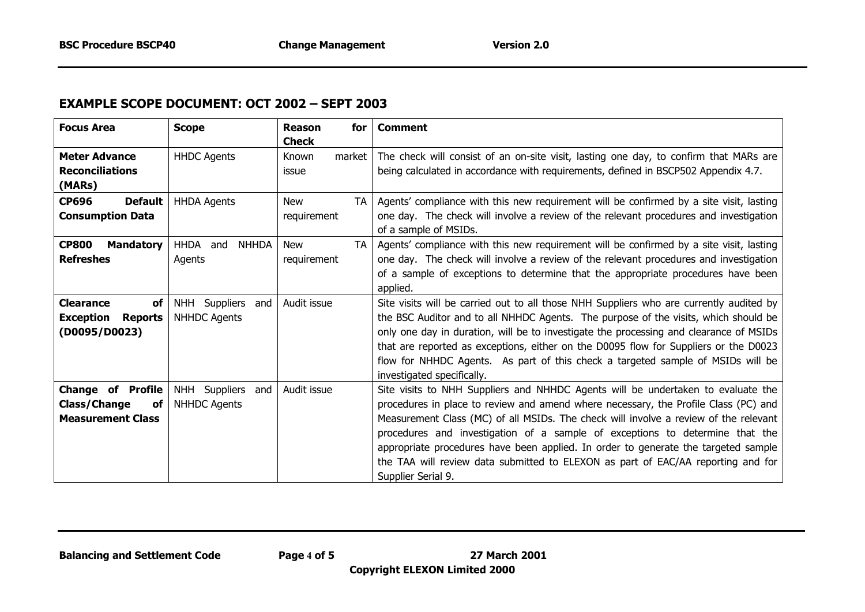# **EXAMPLE SCOPE DOCUMENT: OCT 2002 – SEPT 2003**

| <b>Focus Area</b>                                                                        | <b>Scope</b>                                | Reason<br>for<br><b>Check</b>          | <b>Comment</b>                                                                                                                                                                                                                                                                                                                                                                                                                                                                                                                                  |
|------------------------------------------------------------------------------------------|---------------------------------------------|----------------------------------------|-------------------------------------------------------------------------------------------------------------------------------------------------------------------------------------------------------------------------------------------------------------------------------------------------------------------------------------------------------------------------------------------------------------------------------------------------------------------------------------------------------------------------------------------------|
| <b>Meter Advance</b><br><b>Reconciliations</b><br>(MARs)                                 | <b>HHDC Agents</b>                          | Known<br>market<br>issue               | The check will consist of an on-site visit, lasting one day, to confirm that MARs are<br>being calculated in accordance with requirements, defined in BSCP502 Appendix 4.7.                                                                                                                                                                                                                                                                                                                                                                     |
| <b>CP696</b><br><b>Default</b><br><b>Consumption Data</b>                                | <b>HHDA Agents</b>                          | <b>New</b><br><b>TA</b><br>requirement | Agents' compliance with this new requirement will be confirmed by a site visit, lasting<br>one day. The check will involve a review of the relevant procedures and investigation<br>of a sample of MSIDs.                                                                                                                                                                                                                                                                                                                                       |
| <b>CP800</b><br><b>Mandatory</b><br><b>Refreshes</b>                                     | HHDA and<br><b>NHHDA</b><br>Agents          | <b>TA</b><br><b>New</b><br>requirement | Agents' compliance with this new requirement will be confirmed by a site visit, lasting<br>one day. The check will involve a review of the relevant procedures and investigation<br>of a sample of exceptions to determine that the appropriate procedures have been<br>applied.                                                                                                                                                                                                                                                                |
| <b>Clearance</b><br>of<br><b>Exception</b><br><b>Reports</b><br>(D0095/D0023)            | NHH Suppliers and<br><b>NHHDC Agents</b>    | Audit issue                            | Site visits will be carried out to all those NHH Suppliers who are currently audited by<br>the BSC Auditor and to all NHHDC Agents. The purpose of the visits, which should be<br>only one day in duration, will be to investigate the processing and clearance of MSIDs<br>that are reported as exceptions, either on the D0095 flow for Suppliers or the D0023<br>flow for NHHDC Agents. As part of this check a targeted sample of MSIDs will be<br>investigated specifically.                                                               |
| <b>Change of Profile</b><br><b>Class/Change</b><br><b>of</b><br><b>Measurement Class</b> | NHH Suppliers<br>and<br><b>NHHDC Agents</b> | Audit issue                            | Site visits to NHH Suppliers and NHHDC Agents will be undertaken to evaluate the<br>procedures in place to review and amend where necessary, the Profile Class (PC) and<br>Measurement Class (MC) of all MSIDs. The check will involve a review of the relevant<br>procedures and investigation of a sample of exceptions to determine that the<br>appropriate procedures have been applied. In order to generate the targeted sample<br>the TAA will review data submitted to ELEXON as part of EAC/AA reporting and for<br>Supplier Serial 9. |